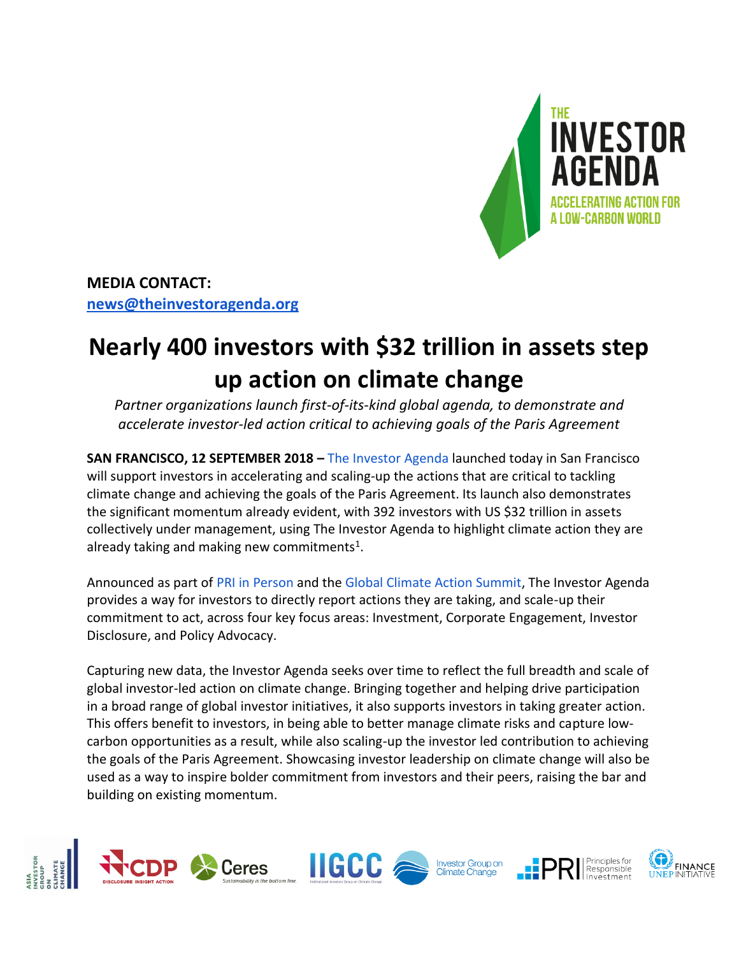

**MEDIA CONTACT: [news@theinvestoragenda.org](mailto:news@theinvestoragenda.org)**

## **Nearly 400 investors with \$32 trillion in assets step up action on climate change**

*Partner organizations launch first-of-its-kind global agenda, to demonstrate and accelerate investor-led action critical to achieving goals of the Paris Agreement*

**SAN FRANCISCO, 12 SEPTEMBER 2018 –** [The Investor Agenda](https://theinvestoragenda.org/) launched today in San Francisco will support investors in accelerating and scaling-up the actions that are critical to tackling climate change and achieving the goals of the Paris Agreement. Its launch also demonstrates the significant momentum already evident, with 392 investors with US \$32 trillion in assets collectively under management, using The Investor Agenda to highlight climate action they are already taking and making new commitments<sup>1</sup>.

Announced as part of [PRI in Person](https://www.unpri.org/events/pri-in-person) and the [Global Climate Action Summit,](https://www.globalclimateactionsummit.org/) The Investor Agenda provides a way for investors to directly report actions they are taking, and scale-up their commitment to act, across four key focus areas: Investment, Corporate Engagement, Investor Disclosure, and Policy Advocacy.

Capturing new data, the Investor Agenda seeks over time to reflect the full breadth and scale of global investor-led action on climate change. Bringing together and helping drive participation in a broad range of global investor initiatives, it also supports investors in taking greater action. This offers benefit to investors, in being able to better manage climate risks and capture lowcarbon opportunities as a result, while also scaling-up the investor led contribution to achieving the goals of the Paris Agreement. Showcasing investor leadership on climate change will also be used as a way to inspire bolder commitment from investors and their peers, raising the bar and building on existing momentum.

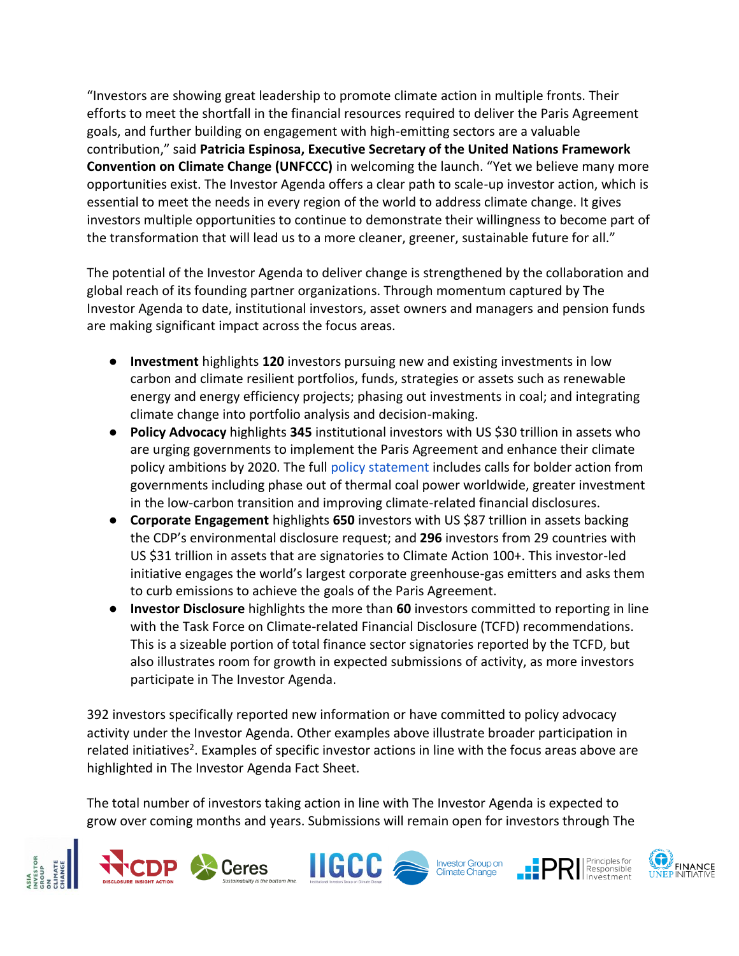"Investors are showing great leadership to promote climate action in multiple fronts. Their efforts to meet the shortfall in the financial resources required to deliver the Paris Agreement goals, and further building on engagement with high-emitting sectors are a valuable contribution," said **Patricia Espinosa, Executive Secretary of the United Nations Framework Convention on Climate Change (UNFCCC)** in welcoming the launch. "Yet we believe many more opportunities exist. The Investor Agenda offers a clear path to scale-up investor action, which is essential to meet the needs in every region of the world to address climate change. It gives investors multiple opportunities to continue to demonstrate their willingness to become part of the transformation that will lead us to a more cleaner, greener, sustainable future for all."

The potential of the Investor Agenda to deliver change is strengthened by the collaboration and global reach of its founding partner organizations. Through momentum captured by The Investor Agenda to date, institutional investors, asset owners and managers and pension funds are making significant impact across the focus areas.

- **Investment** highlights **120** investors pursuing new and existing investments in low carbon and climate resilient portfolios, funds, strategies or assets such as renewable energy and energy efficiency projects; phasing out investments in coal; and integrating climate change into portfolio analysis and decision-making.
- **Policy Advocacy** highlights **345** institutional investors with US \$30 trillion in assets who are urging governments to implement the Paris Agreement and enhance their climate policy ambitions by 2020. The full [policy statement](https://theinvestoragenda.org/areas-of-impact/policy-advocacy/) includes calls for bolder action from governments including phase out of thermal coal power worldwide, greater investment in the low-carbon transition and improving climate-related financial disclosures.
- **Corporate Engagement** highlights **650** investors with US \$87 trillion in assets backing the CDP's environmental disclosure request; and **296** investors from 29 countries with US \$31 trillion in assets that are signatories to Climate Action 100+. This investor-led initiative engages the world's largest corporate greenhouse-gas emitters and asks them to curb emissions to achieve the goals of the Paris Agreement.
- **Investor Disclosure** highlights the more than **60** investors committed to reporting in line with the Task Force on Climate-related Financial Disclosure (TCFD) recommendations. This is a sizeable portion of total finance sector signatories reported by the TCFD, but also illustrates room for growth in expected submissions of activity, as more investors participate in The Investor Agenda.

392 investors specifically reported new information or have committed to policy advocacy activity under the Investor Agenda. Other examples above illustrate broader participation in related initiatives<sup>2</sup>. Examples of specific investor actions in line with the focus areas above are highlighted in The Investor Agenda Fact Sheet.

The total number of investors taking action in line with The Investor Agenda is expected to grow over coming months and years. Submissions will remain open for investors through The

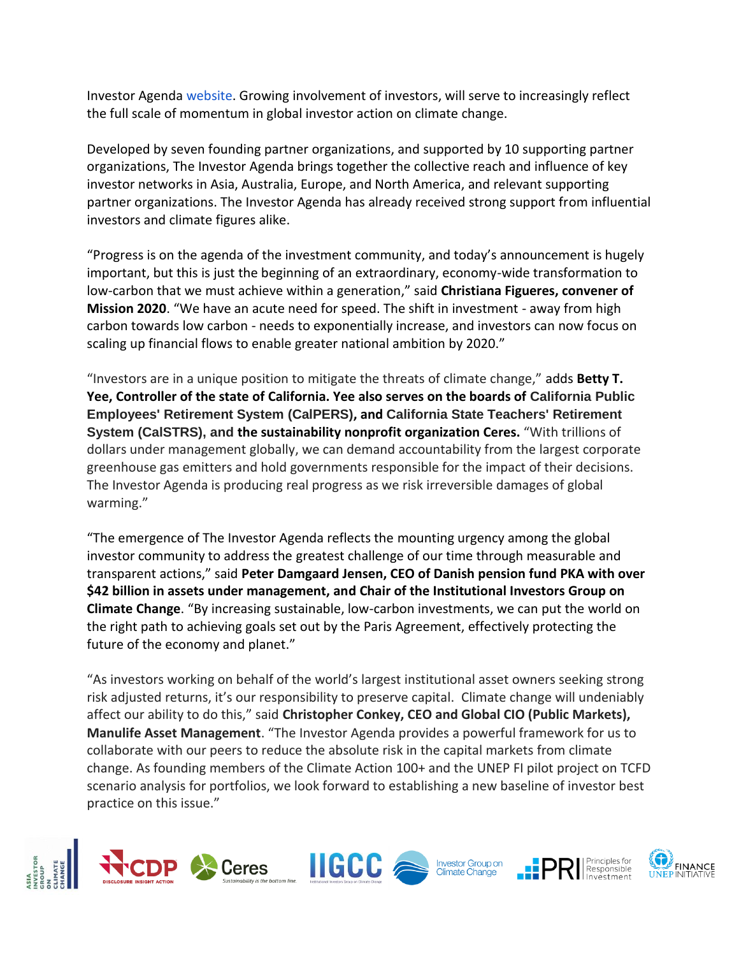Investor Agenda [website.](https://theinvestoragenda.org/areas-of-impact/) Growing involvement of investors, will serve to increasingly reflect the full scale of momentum in global investor action on climate change.

Developed by seven founding partner organizations, and supported by 10 supporting partner organizations, The Investor Agenda brings together the collective reach and influence of key investor networks in Asia, Australia, Europe, and North America, and relevant supporting partner organizations. The Investor Agenda has already received strong support from influential investors and climate figures alike.

"Progress is on the agenda of the investment community, and today's announcement is hugely important, but this is just the beginning of an extraordinary, economy-wide transformation to low-carbon that we must achieve within a generation," said **Christiana Figueres, convener of Mission 2020**. "We have an acute need for speed. The shift in investment - away from high carbon towards low carbon - needs to exponentially increase, and investors can now focus on scaling up financial flows to enable greater national ambition by 2020."

"Investors are in a unique position to mitigate the threats of climate change," adds **Betty T. Yee, Controller of the state of California. Yee also serves on the boards of California Public Employees' Retirement System (CalPERS), and California State Teachers' Retirement System (CalSTRS), and the sustainability nonprofit organization Ceres.** "With trillions of dollars under management globally, we can demand accountability from the largest corporate greenhouse gas emitters and hold governments responsible for the impact of their decisions. The Investor Agenda is producing real progress as we risk irreversible damages of global warming."

"The emergence of The Investor Agenda reflects the mounting urgency among the global investor community to address the greatest challenge of our time through measurable and transparent actions," said **Peter Damgaard Jensen, CEO of Danish pension fund PKA with over \$42 billion in assets under management, and Chair of the Institutional Investors Group on Climate Change**. "By increasing sustainable, low-carbon investments, we can put the world on the right path to achieving goals set out by the Paris Agreement, effectively protecting the future of the economy and planet."

"As investors working on behalf of the world's largest institutional asset owners seeking strong risk adjusted returns, it's our responsibility to preserve capital. Climate change will undeniably affect our ability to do this," said **Christopher Conkey, CEO and Global CIO (Public Markets), Manulife Asset Management**. "The Investor Agenda provides a powerful framework for us to collaborate with our peers to reduce the absolute risk in the capital markets from climate change. As founding members of the Climate Action 100+ and the UNEP FI pilot project on TCFD scenario analysis for portfolios, we look forward to establishing a new baseline of investor best practice on this issue."